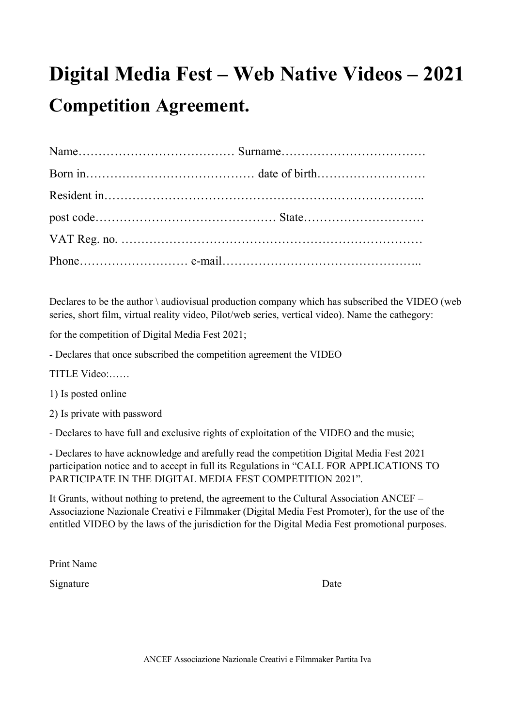## **Digital Media Fest – Web Native Videos – 2021 Competition Agreement.**

Declares to be the author  $\lambda$  audiovisual production company which has subscribed the VIDEO (web series, short film, virtual reality video, Pilot/web series, vertical video). Name the cathegory:

for the competition of Digital Media Fest 2021;

- Declares that once subscribed the competition agreement the VIDEO

TITLE Video:……

1) Is posted online

2) Is private with password

- Declares to have full and exclusive rights of exploitation of the VIDEO and the music;

- Declares to have acknowledge and arefully read the competition Digital Media Fest 2021 participation notice and to accept in full its Regulations in "CALL FOR APPLICATIONS TO PARTICIPATE IN THE DIGITAL MEDIA FEST COMPETITION 2021".

It Grants, without nothing to pretend, the agreement to the Cultural Association ANCEF – Associazione Nazionale Creativi e Filmmaker (Digital Media Fest Promoter), for the use of the entitled VIDEO by the laws of the jurisdiction for the Digital Media Fest promotional purposes.

Print Name

Signature Date